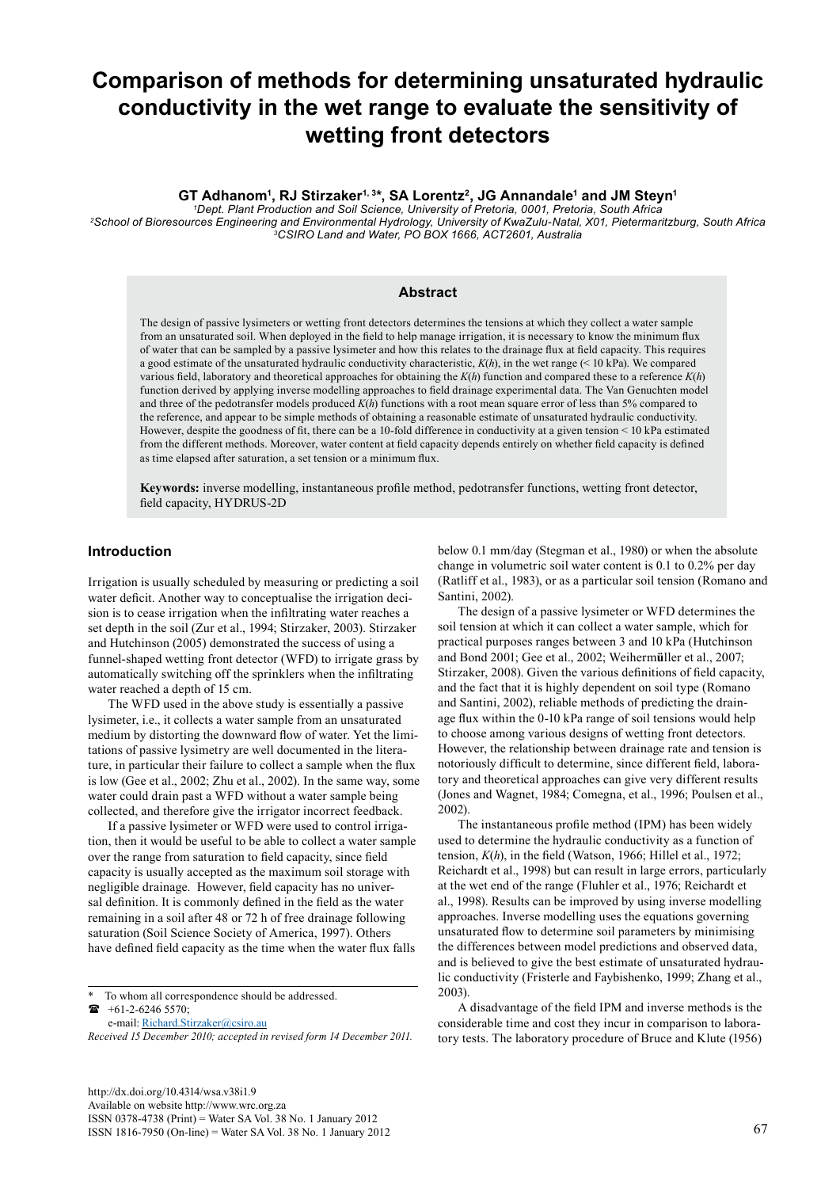# **Comparison of methods for determining unsaturated hydraulic conductivity in the wet range to evaluate the sensitivity of wetting front detectors**

## GT Adhanom<sup>1</sup>, RJ Stirzaker<sup>1, 3\*</sup>, SA Lorentz<sup>2</sup>, JG Annandale<sup>1</sup> and JM Steyn<sup>1</sup>

*1 Dept. Plant Production and Soil Science, University of Pretoria, 0001, Pretoria, South Africa 2 School of Bioresources Engineering and Environmental Hydrology, University of KwaZulu-Natal, X01, Pietermaritzburg, South Africa 3CSIRO Land and Water, PO BOX 1666, ACT2601, Australia*

#### **Abstract**

The design of passive lysimeters or wetting front detectors determines the tensions at which they collect a water sample from an unsaturated soil. When deployed in the field to help manage irrigation, it is necessary to know the minimum flux of water that can be sampled by a passive lysimeter and how this relates to the drainage flux at field capacity. This requires a good estimate of the unsaturated hydraulic conductivity characteristic, *K*(*h*), in the wet range (< 10 kPa). We compared various field, laboratory and theoretical approaches for obtaining the *K*(*h*) function and compared these to a reference *K*(*h*) function derived by applying inverse modelling approaches to field drainage experimental data. The Van Genuchten model and three of the pedotransfer models produced *K*(*h*) functions with a root mean square error of less than 5% compared to the reference, and appear to be simple methods of obtaining a reasonable estimate of unsaturated hydraulic conductivity. However, despite the goodness of fit, there can be a 10-fold difference in conductivity at a given tension < 10 kPa estimated from the different methods. Moreover, water content at field capacity depends entirely on whether field capacity is defined as time elapsed after saturation, a set tension or a minimum flux.

**Keywords:** inverse modelling, instantaneous profile method, pedotransfer functions, wetting front detector, field capacity, HYDRUS-2D

# **Introduction**

Irrigation is usually scheduled by measuring or predicting a soil water deficit. Another way to conceptualise the irrigation decision is to cease irrigation when the infiltrating water reaches a set depth in the soil (Zur et al., 1994; Stirzaker, 2003). Stirzaker and Hutchinson (2005) demonstrated the success of using a funnel-shaped wetting front detector (WFD) to irrigate grass by automatically switching off the sprinklers when the infiltrating water reached a depth of 15 cm.

The WFD used in the above study is essentially a passive lysimeter, i.e., it collects a water sample from an unsaturated medium by distorting the downward flow of water. Yet the limitations of passive lysimetry are well documented in the literature, in particular their failure to collect a sample when the flux is low (Gee et al., 2002; Zhu et al., 2002). In the same way, some water could drain past a WFD without a water sample being collected, and therefore give the irrigator incorrect feedback.

If a passive lysimeter or WFD were used to control irrigation, then it would be useful to be able to collect a water sample over the range from saturation to field capacity, since field capacity is usually accepted as the maximum soil storage with negligible drainage. However, field capacity has no universal definition. It is commonly defined in the field as the water remaining in a soil after 48 or 72 h of free drainage following saturation (Soil Science Society of America, 1997). Others have defined field capacity as the time when the water flux falls

To whom all correspondence should be addressed. +61-2-6246 5570;

e-mail: [Richard.Stirzaker@csiro.au](mailto:Richard.Stirzaker@csiro.au)

*Received 15 December 2010; accepted in revised form 14 December 2011.*

[http://dx.doi.org/10.4314/wsa.v38i1.9](http://dx.doi.org/10.4314/wsa.v37i4.18) Available on website http://www.wrc.org.za ISSN 0378-4738 (Print) = Water SA Vol. 38 No. 1 January 2012 ISSN 1816-7950 (On-line) = Water SA Vol. 38 No. 1 January 2012 67

below 0.1 mm/day (Stegman et al., 1980) or when the absolute change in volumetric soil water content is 0.1 to 0.2% per day (Ratliff et al., 1983), or as a particular soil tension (Romano and Santini, 2002).

The design of a passive lysimeter or WFD determines the soil tension at which it can collect a water sample, which for practical purposes ranges between 3 and 10 kPa (Hutchinson and Bond 2001; Gee et al., 2002; Weiherm**ü**ller et al., 2007; Stirzaker, 2008). Given the various definitions of field capacity, and the fact that it is highly dependent on soil type (Romano and Santini, 2002), reliable methods of predicting the drainage flux within the 0-10 kPa range of soil tensions would help to choose among various designs of wetting front detectors. However, the relationship between drainage rate and tension is notoriously difficult to determine, since different field, laboratory and theoretical approaches can give very different results (Jones and Wagnet, 1984; Comegna, et al., 1996; Poulsen et al., 2002).

The instantaneous profile method (IPM) has been widely used to determine the hydraulic conductivity as a function of tension, *K*(*h*), in the field (Watson, 1966; Hillel et al., 1972; Reichardt et al., 1998) but can result in large errors, particularly at the wet end of the range (Fluhler et al., 1976; Reichardt et al., 1998). Results can be improved by using inverse modelling approaches. Inverse modelling uses the equations governing unsaturated flow to determine soil parameters by minimising the differences between model predictions and observed data, and is believed to give the best estimate of unsaturated hydraulic conductivity (Fristerle and Faybishenko, 1999; Zhang et al., 2003).

A disadvantage of the field IPM and inverse methods is the considerable time and cost they incur in comparison to laboratory tests. The laboratory procedure of Bruce and Klute (1956)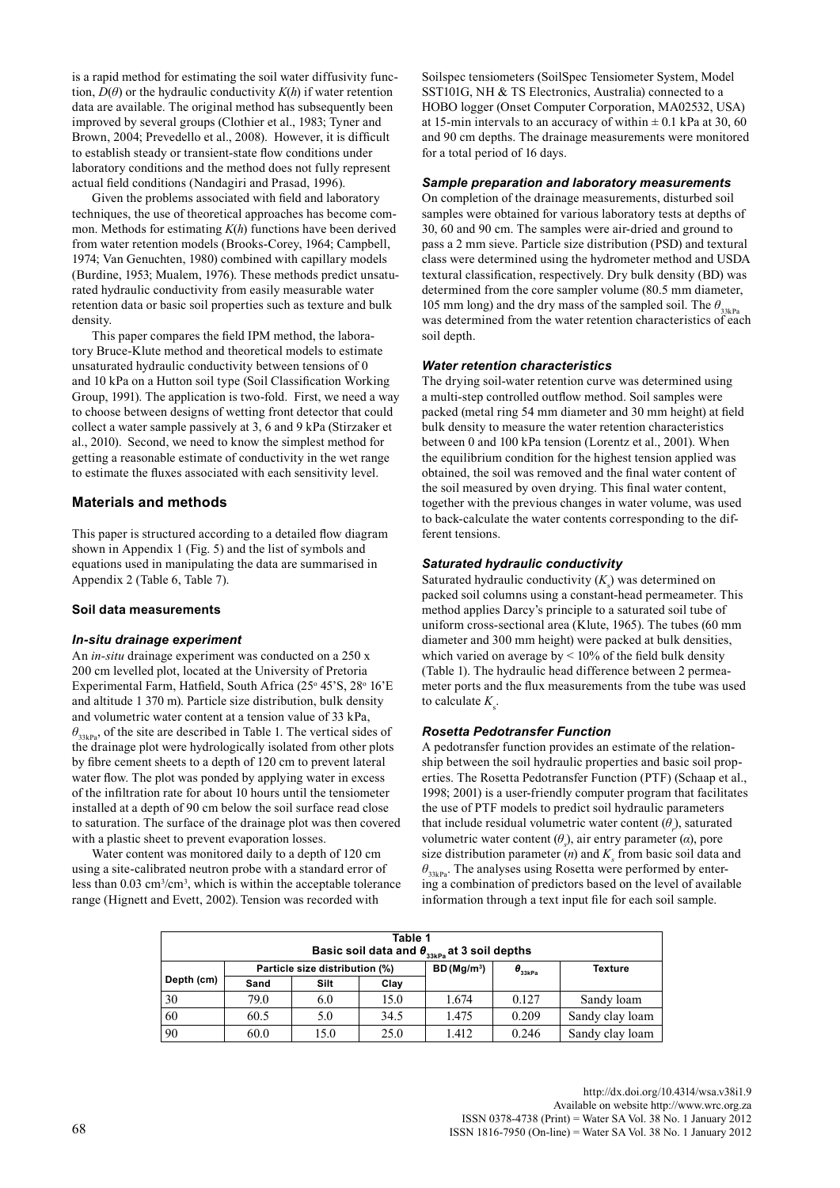is a rapid method for estimating the soil water diffusivity function,  $D(\theta)$  or the hydraulic conductivity  $K(h)$  if water retention data are available. The original method has subsequently been improved by several groups (Clothier et al., 1983; Tyner and Brown, 2004; Prevedello et al., 2008). However, it is difficult to establish steady or transient-state flow conditions under laboratory conditions and the method does not fully represent actual field conditions (Nandagiri and Prasad, 1996).

Given the problems associated with field and laboratory techniques, the use of theoretical approaches has become common. Methods for estimating *K*(*h*) functions have been derived from water retention models (Brooks-Corey, 1964; Campbell, 1974; Van Genuchten, 1980) combined with capillary models (Burdine, 1953; Mualem, 1976). These methods predict unsaturated hydraulic conductivity from easily measurable water retention data or basic soil properties such as texture and bulk density.

This paper compares the field IPM method, the laboratory Bruce-Klute method and theoretical models to estimate unsaturated hydraulic conductivity between tensions of 0 and 10 kPa on a Hutton soil type (Soil Classification Working Group, 1991). The application is two-fold. First, we need a way to choose between designs of wetting front detector that could collect a water sample passively at 3, 6 and 9 kPa (Stirzaker et al., 2010). Second, we need to know the simplest method for getting a reasonable estimate of conductivity in the wet range to estimate the fluxes associated with each sensitivity level.

## **Materials and methods**

This paper is structured according to a detailed flow diagram shown in Appendix 1 (Fig. 5) and the list of symbols and equations used in manipulating the data are summarised in Appendix 2 (Table 6, Table 7).

#### **Soil data measurements**

#### *In-situ drainage experiment*

An *in-situ* drainage experiment was conducted on a 250 x 200 cm levelled plot, located at the University of Pretoria Experimental Farm, Hatfield, South Africa (25° 45'S, 28° 16'E and altitude 1 370 m). Particle size distribution, bulk density and volumetric water content at a tension value of 33 kPa,  $\theta_{33kPa}$ , of the site are described in Table 1. The vertical sides of the drainage plot were hydrologically isolated from other plots by fibre cement sheets to a depth of 120 cm to prevent lateral water flow. The plot was ponded by applying water in excess of the infiltration rate for about 10 hours until the tensiometer installed at a depth of 90 cm below the soil surface read close to saturation. The surface of the drainage plot was then covered with a plastic sheet to prevent evaporation losses.

Water content was monitored daily to a depth of 120 cm using a site-calibrated neutron probe with a standard error of less than  $0.03 \text{ cm}^3/\text{cm}^3$ , which is within the acceptable tolerance range (Hignett and Evett, 2002). Tension was recorded with

Soilspec tensiometers (SoilSpec Tensiometer System, Model SST101G, NH & TS Electronics, Australia) connected to a HOBO logger (Onset Computer Corporation, MA02532, USA) at 15-min intervals to an accuracy of within  $\pm$  0.1 kPa at 30, 60 and 90 cm depths. The drainage measurements were monitored for a total period of 16 days.

#### *Sample preparation and laboratory measurements*

On completion of the drainage measurements, disturbed soil samples were obtained for various laboratory tests at depths of 30, 60 and 90 cm. The samples were air-dried and ground to pass a 2 mm sieve. Particle size distribution (PSD) and textural class were determined using the hydrometer method and USDA textural classification, respectively. Dry bulk density (BD) was determined from the core sampler volume (80.5 mm diameter, 105 mm long) and the dry mass of the sampled soil. The  $\theta_{33kPa}$ was determined from the water retention characteristics of each soil depth.

#### *Water retention characteristics*

The drying soil-water retention curve was determined using a multi-step controlled outflow method. Soil samples were packed (metal ring 54 mm diameter and 30 mm height) at field bulk density to measure the water retention characteristics between 0 and 100 kPa tension (Lorentz et al., 2001). When the equilibrium condition for the highest tension applied was obtained, the soil was removed and the final water content of the soil measured by oven drying. This final water content, together with the previous changes in water volume, was used to back-calculate the water contents corresponding to the different tensions.

#### *Saturated hydraulic conductivity*

Saturated hydraulic conductivity  $(K<sub>s</sub>)$  was determined on packed soil columns using a constant-head permeameter. This method applies Darcy's principle to a saturated soil tube of uniform cross-sectional area (Klute, 1965). The tubes (60 mm diameter and 300 mm height) were packed at bulk densities, which varied on average by < 10% of the field bulk density (Table 1). The hydraulic head difference between 2 permeameter ports and the flux measurements from the tube was used to calculate  $K<sub>s</sub>$ .

#### *Rosetta Pedotransfer Function*

A pedotransfer function provides an estimate of the relationship between the soil hydraulic properties and basic soil properties. The Rosetta Pedotransfer Function (PTF) (Schaap et al., 1998; 2001) is a user-friendly computer program that facilitates the use of PTF models to predict soil hydraulic parameters that include residual volumetric water content  $(\theta_r)$ , saturated volumetric water content (*θ<sup>s</sup>* ), air entry parameter (*α*), pore size distribution parameter  $(n)$  and  $K<sub>s</sub>$  from basic soil data and  $\theta_{\text{33kPa}}$ . The analyses using Rosetta were performed by entering a combination of predictors based on the level of available information through a text input file for each soil sample.

| Table 1<br>Basic soil data and $\theta_{33kPa}$ at 3 soil depths |                                |      |      |                        |                                  |                 |  |
|------------------------------------------------------------------|--------------------------------|------|------|------------------------|----------------------------------|-----------------|--|
|                                                                  | Particle size distribution (%) |      |      | BD(Mg/m <sup>3</sup> ) | $\boldsymbol{\theta}_{_{33kPa}}$ | <b>Texture</b>  |  |
| Depth (cm)                                                       | Sand                           | Silt | Clay |                        |                                  |                 |  |
| 30                                                               | 79.0                           | 6.0  | 15.0 | 1.674                  | 0.127                            | Sandy loam      |  |
| 60                                                               | 60.5                           | 5.0  | 34.5 | 1.475                  | 0.209                            | Sandy clay loam |  |
| 90                                                               | 60.0                           | 15.0 | 25.0 | 1.412                  | 0.246                            | Sandy clay loam |  |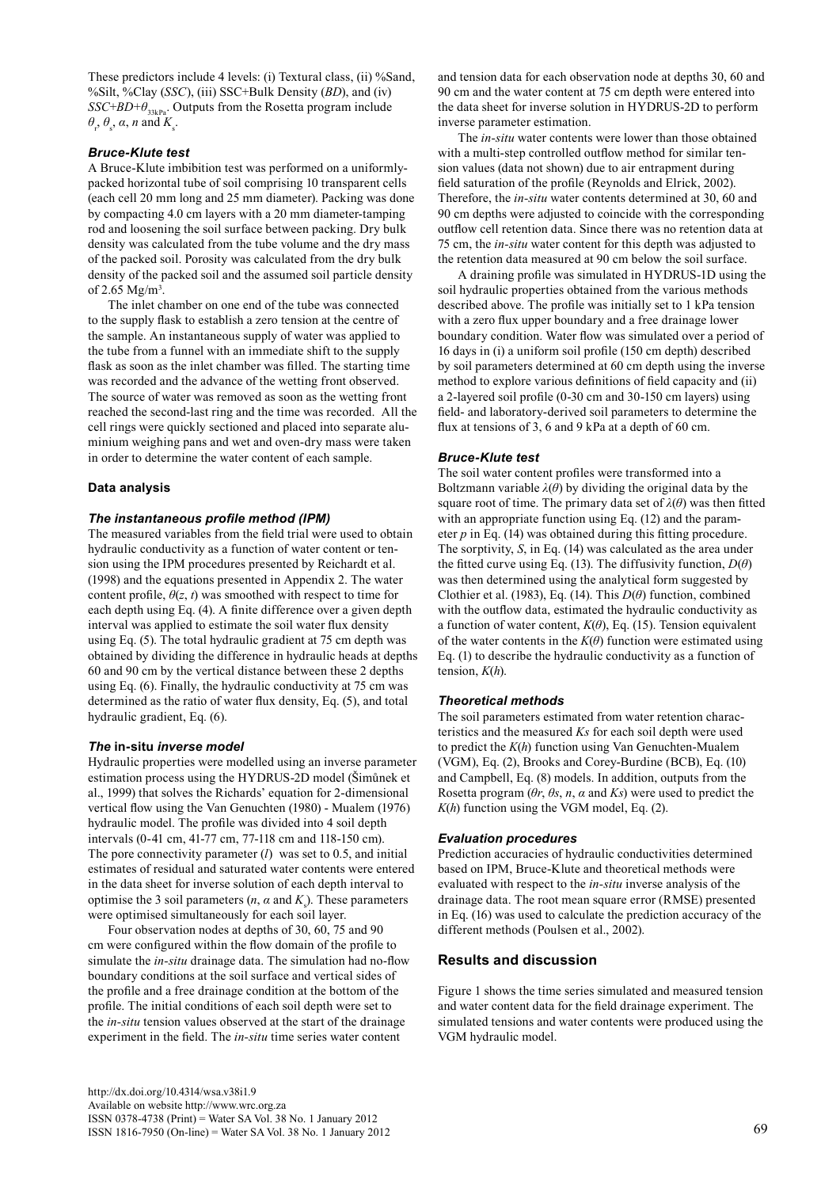These predictors include 4 levels: (i) Textural class, (ii) %Sand, %Silt, %Clay (*SSC*), (iii) SSC+Bulk Density (*BD*), and (iv) *SSC*+*BD*+*θ*33kPa. Outputs from the Rosetta program include  $\theta_r$ ,  $\theta_s$ ,  $\alpha$ ,  $n$  and  $K_s$ .

#### *Bruce-Klute test*

A Bruce-Klute imbibition test was performed on a uniformlypacked horizontal tube of soil comprising 10 transparent cells (each cell 20 mm long and 25 mm diameter). Packing was done by compacting 4.0 cm layers with a 20 mm diameter-tamping rod and loosening the soil surface between packing. Dry bulk density was calculated from the tube volume and the dry mass of the packed soil. Porosity was calculated from the dry bulk density of the packed soil and the assumed soil particle density of 2.65  $Mg/m^3$ .

The inlet chamber on one end of the tube was connected to the supply flask to establish a zero tension at the centre of the sample. An instantaneous supply of water was applied to the tube from a funnel with an immediate shift to the supply flask as soon as the inlet chamber was filled. The starting time was recorded and the advance of the wetting front observed. The source of water was removed as soon as the wetting front reached the second-last ring and the time was recorded. All the cell rings were quickly sectioned and placed into separate aluminium weighing pans and wet and oven-dry mass were taken in order to determine the water content of each sample.

## **Data analysis**

#### *The instantaneous profile method (IPM)*

The measured variables from the field trial were used to obtain hydraulic conductivity as a function of water content or tension using the IPM procedures presented by Reichardt et al. (1998) and the equations presented in Appendix 2. The water content profile,  $\theta(z, t)$  was smoothed with respect to time for each depth using Eq. (4). A finite difference over a given depth interval was applied to estimate the soil water flux density using Eq. (5). The total hydraulic gradient at 75 cm depth was obtained by dividing the difference in hydraulic heads at depths 60 and 90 cm by the vertical distance between these 2 depths using Eq. (6). Finally, the hydraulic conductivity at 75 cm was determined as the ratio of water flux density, Eq. (5), and total hydraulic gradient, Eq. (6).

#### *The* **in-situ** *inverse model*

Hydraulic properties were modelled using an inverse parameter estimation process using the HYDRUS-2D model (Šimůnek et al., 1999) that solves the Richards' equation for 2-dimensional vertical flow using the Van Genuchten (1980) - Mualem (1976) hydraulic model. The profile was divided into 4 soil depth intervals (0-41 cm, 41-77 cm, 77-118 cm and 118-150 cm). The pore connectivity parameter (*l*) was set to 0.5, and initial estimates of residual and saturated water contents were entered in the data sheet for inverse solution of each depth interval to optimise the 3 soil parameters  $(n, \alpha \text{ and } K_s)$ . These parameters were optimised simultaneously for each soil layer.

Four observation nodes at depths of 30, 60, 75 and 90 cm were configured within the flow domain of the profile to simulate the *in-situ* drainage data. The simulation had no-flow boundary conditions at the soil surface and vertical sides of the profile and a free drainage condition at the bottom of the profile. The initial conditions of each soil depth were set to the *in-situ* tension values observed at the start of the drainage experiment in the field. The *in-situ* time series water content

and tension data for each observation node at depths 30, 60 and 90 cm and the water content at 75 cm depth were entered into the data sheet for inverse solution in HYDRUS-2D to perform inverse parameter estimation.

The *in-situ* water contents were lower than those obtained with a multi-step controlled outflow method for similar tension values (data not shown) due to air entrapment during field saturation of the profile (Reynolds and Elrick, 2002). Therefore, the *in-situ* water contents determined at 30, 60 and 90 cm depths were adjusted to coincide with the corresponding outflow cell retention data. Since there was no retention data at 75 cm, the *in-situ* water content for this depth was adjusted to the retention data measured at 90 cm below the soil surface.

A draining profile was simulated in HYDRUS-1D using the soil hydraulic properties obtained from the various methods described above. The profile was initially set to 1 kPa tension with a zero flux upper boundary and a free drainage lower boundary condition. Water flow was simulated over a period of 16 days in (i) a uniform soil profile (150 cm depth) described by soil parameters determined at 60 cm depth using the inverse method to explore various definitions of field capacity and (ii) a 2-layered soil profile (0-30 cm and 30-150 cm layers) using field- and laboratory-derived soil parameters to determine the flux at tensions of 3, 6 and 9 kPa at a depth of 60 cm.

## *Bruce-Klute test*

The soil water content profiles were transformed into a Boltzmann variable *λ*(*θ*) by dividing the original data by the square root of time. The primary data set of  $\lambda(\theta)$  was then fitted with an appropriate function using Eq. (12) and the parameter *p* in Eq. (14) was obtained during this fitting procedure. The sorptivity, *S*, in Eq. (14) was calculated as the area under the fitted curve using Eq. (13). The diffusivity function,  $D(\theta)$ was then determined using the analytical form suggested by Clothier et al. (1983), Eq. (14). This *D*(*θ*) function, combined with the outflow data, estimated the hydraulic conductivity as a function of water content,  $K(\theta)$ , Eq. (15). Tension equivalent of the water contents in the  $K(\theta)$  function were estimated using Eq. (1) to describe the hydraulic conductivity as a function of tension, *K*(*h*).

# *Theoretical methods*

The soil parameters estimated from water retention characteristics and the measured *Ks* for each soil depth were used to predict the *K*(*h*) function using Van Genuchten-Mualem (VGM), Eq. (2), Brooks and Corey-Burdine (BCB), Eq. (10) and Campbell, Eq. (8) models. In addition, outputs from the Rosetta program (*θr*, *θs*, *n*, *α* and *Ks*) were used to predict the  $K(h)$  function using the VGM model, Eq. (2).

#### *Evaluation procedures*

Prediction accuracies of hydraulic conductivities determined based on IPM, Bruce-Klute and theoretical methods were evaluated with respect to the *in-situ* inverse analysis of the drainage data. The root mean square error (RMSE) presented in Eq. (16) was used to calculate the prediction accuracy of the different methods (Poulsen et al., 2002).

#### **Results and discussion**

Figure 1 shows the time series simulated and measured tension and water content data for the field drainage experiment. The simulated tensions and water contents were produced using the VGM hydraulic model.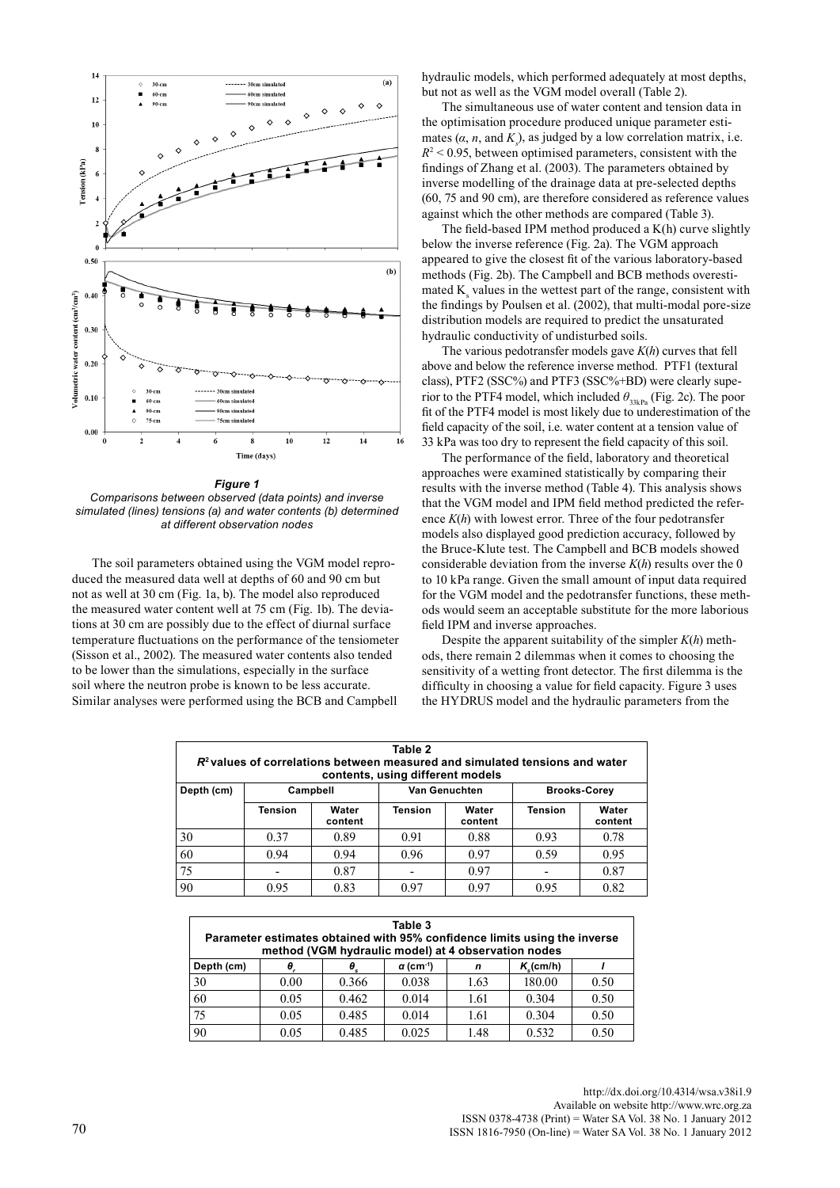

*Figure 1 Comparisons between observed (data points) and inverse simulated (lines) tensions (a) and water contents (b) determined at different observation nodes*

The soil parameters obtained using the VGM model reproduced the measured data well at depths of 60 and 90 cm but not as well at 30 cm (Fig. 1a, b). The model also reproduced the measured water content well at 75 cm (Fig. 1b). The deviations at 30 cm are possibly due to the effect of diurnal surface temperature fluctuations on the performance of the tensiometer (Sisson et al., 2002). The measured water contents also tended to be lower than the simulations, especially in the surface soil where the neutron probe is known to be less accurate. Similar analyses were performed using the BCB and Campbell

hydraulic models, which performed adequately at most depths, but not as well as the VGM model overall (Table 2).

The simultaneous use of water content and tension data in the optimisation procedure produced unique parameter estimates  $(\alpha, n, \text{ and } K_s)$ , as judged by a low correlation matrix, i.e.  $R^2$  < 0.95, between optimised parameters, consistent with the findings of Zhang et al. (2003). The parameters obtained by inverse modelling of the drainage data at pre-selected depths (60, 75 and 90 cm), are therefore considered as reference values against which the other methods are compared (Table 3).

The field-based IPM method produced a K(h) curve slightly below the inverse reference (Fig. 2a). The VGM approach appeared to give the closest fit of the various laboratory-based methods (Fig. 2b). The Campbell and BCB methods overestimated  $K_s$  values in the wettest part of the range, consistent with the findings by Poulsen et al. (2002), that multi-modal pore-size distribution models are required to predict the unsaturated hydraulic conductivity of undisturbed soils.

The various pedotransfer models gave *K*(*h*) curves that fell above and below the reference inverse method. PTF1 (textural class), PTF2 (SSC%) and PTF3 (SSC%+BD) were clearly superior to the PTF4 model, which included  $\theta_{33kPa}$  (Fig. 2c). The poor fit of the PTF4 model is most likely due to underestimation of the field capacity of the soil, i.e. water content at a tension value of 33 kPa was too dry to represent the field capacity of this soil.

The performance of the field, laboratory and theoretical approaches were examined statistically by comparing their results with the inverse method (Table 4). This analysis shows that the VGM model and IPM field method predicted the reference *K*(*h*) with lowest error. Three of the four pedotransfer models also displayed good prediction accuracy, followed by the Bruce-Klute test. The Campbell and BCB models showed considerable deviation from the inverse  $K(h)$  results over the 0 to 10 kPa range. Given the small amount of input data required for the VGM model and the pedotransfer functions, these methods would seem an acceptable substitute for the more laborious field IPM and inverse approaches.

Despite the apparent suitability of the simpler *K*(*h*) methods, there remain 2 dilemmas when it comes to choosing the sensitivity of a wetting front detector. The first dilemma is the difficulty in choosing a value for field capacity. Figure 3 uses the HYDRUS model and the hydraulic parameters from the

| Table 2<br>$R2$ values of correlations between measured and simulated tensions and water<br>contents, using different models |                                                  |                  |         |                  |                |                  |  |  |  |
|------------------------------------------------------------------------------------------------------------------------------|--------------------------------------------------|------------------|---------|------------------|----------------|------------------|--|--|--|
| Depth (cm)                                                                                                                   | Van Genuchten<br>Campbell<br><b>Brooks-Corey</b> |                  |         |                  |                |                  |  |  |  |
|                                                                                                                              | Tension                                          | Water<br>content | Tension | Water<br>content | <b>Tension</b> | Water<br>content |  |  |  |
| 30                                                                                                                           | 0.37                                             | 0.89             | 0.91    | 0.88             | 0.93           | 0.78             |  |  |  |
| 60                                                                                                                           | 0.94                                             | 0.94             | 0.96    | 0.97             | 0.59           | 0.95             |  |  |  |
| 75                                                                                                                           |                                                  | 0.87             |         | 0.97             |                | 0.87             |  |  |  |
| 90                                                                                                                           | 0.95                                             | 0.83             | 0.97    | 0.97             | 0.95           | 0.82             |  |  |  |

| Table 3<br>Parameter estimates obtained with 95% confidence limits using the inverse<br>method (VGM hydraulic model) at 4 observation nodes |      |                  |                        |      |              |      |  |  |
|---------------------------------------------------------------------------------------------------------------------------------------------|------|------------------|------------------------|------|--------------|------|--|--|
| Depth (cm)                                                                                                                                  | θ,   | $\theta_{\rm c}$ | $\alpha$ (cm $^{-1}$ ) | n    | $K_c$ (cm/h) |      |  |  |
| 30                                                                                                                                          | 0.00 | 0.366            | 0.038                  | 1.63 | 180.00       | 0.50 |  |  |
| 60                                                                                                                                          | 0.05 | 0.462            | 0.014                  | 1.61 | 0.304        | 0.50 |  |  |
| 75                                                                                                                                          | 0.05 | 0.485            | 0.014                  | 1.61 | 0.304        | 0.50 |  |  |
| 90                                                                                                                                          | 0.05 | 0.485            | 0.025                  | 1.48 | 0.532        | 0.50 |  |  |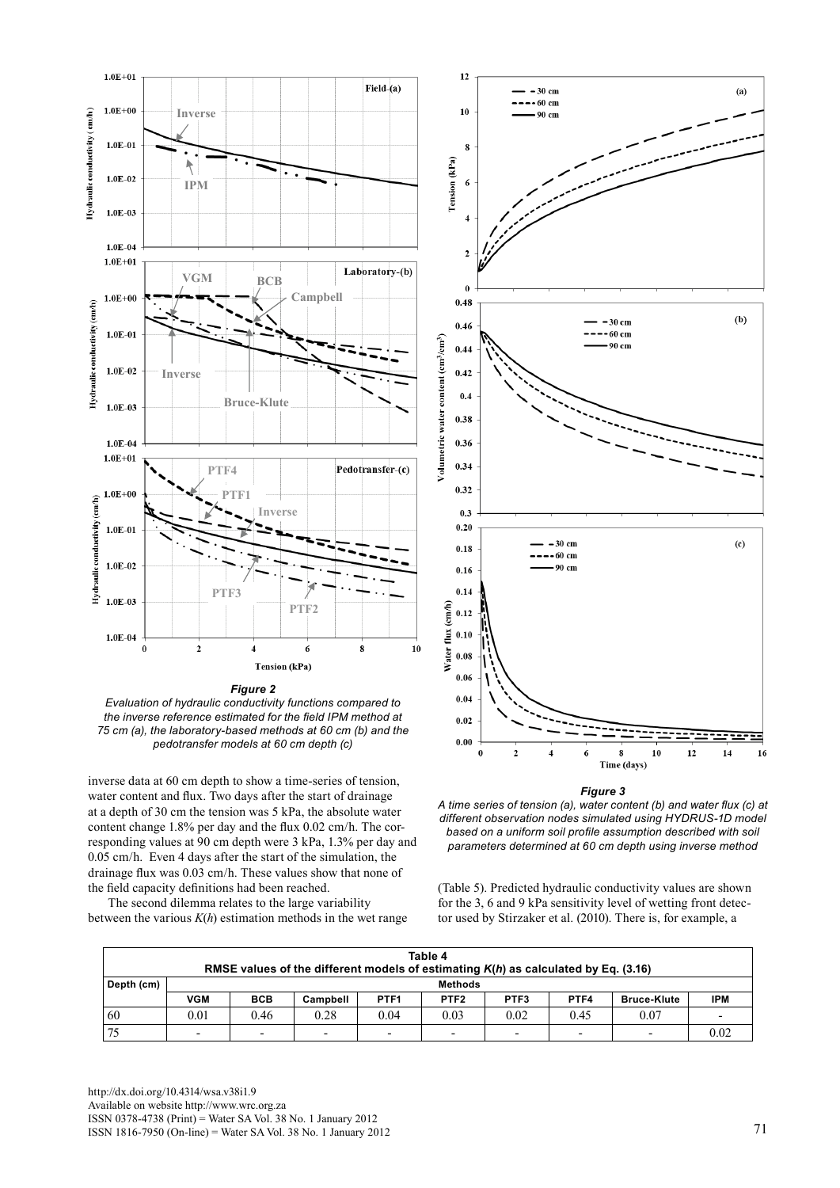

*Evaluation of hydraulic conductivity functions compared to the inverse reference estimated for the field IPM method at 75 cm (a), the laboratory-based methods at 60 cm (b) and the pedotransfer models at 60 cm depth (c)*

inverse data at 60 cm depth to show a time-series of tension, water content and flux. Two days after the start of drainage at a depth of 30 cm the tension was 5 kPa, the absolute water content change 1.8% per day and the flux 0.02 cm/h. The corresponding values at 90 cm depth were 3 kPa, 1.3% per day and 0.05 cm/h. Even 4 days after the start of the simulation, the drainage flux was 0.03 cm/h. These values show that none of the field capacity definitions had been reached.

The second dilemma relates to the large variability between the various *K*(*h*) estimation methods in the wet range



*Figure 3*

*A time series of tension (a), water content (b) and water flux (c) at different observation nodes simulated using HYDRUS-1D model based on a uniform soil profile assumption described with soil parameters determined at 60 cm depth using inverse method* 

(Table 5). Predicted hydraulic conductivity values are shown for the 3, 6 and 9 kPa sensitivity level of wetting front detector used by Stirzaker et al. (2010). There is, for example, a

| Table 4<br>RMSE values of the different models of estimating $K(h)$ as calculated by Eq. (3.16) |            |                          |                          |                  |                          |      |      |                    |      |
|-------------------------------------------------------------------------------------------------|------------|--------------------------|--------------------------|------------------|--------------------------|------|------|--------------------|------|
| Depth (cm)                                                                                      |            | <b>Methods</b>           |                          |                  |                          |      |      |                    |      |
|                                                                                                 | <b>VGM</b> | <b>BCB</b>               | Campbell                 | PTF <sub>1</sub> | PTF <sub>2</sub>         | PTF3 | PTF4 | <b>Bruce-Klute</b> | IPM  |
| 60                                                                                              | 0.01       | 0.46                     | 0.28                     | 0.04             | 0.03                     | 0.02 | 0.45 | 0.07               |      |
|                                                                                                 |            | $\overline{\phantom{0}}$ | $\overline{\phantom{0}}$ | -                | $\overline{\phantom{0}}$ | -    | -    |                    | 0.02 |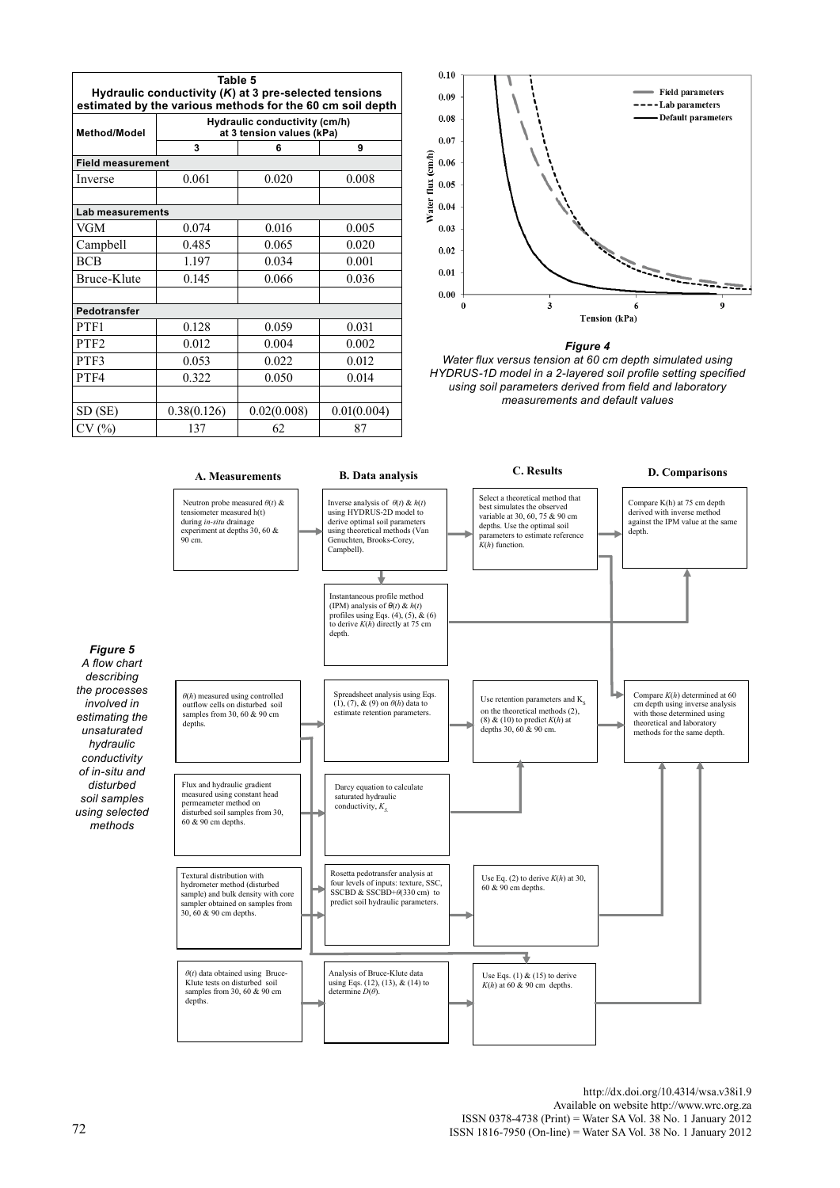| Table 5<br>Hydraulic conductivity (K) at 3 pre-selected tensions<br>estimated by the various methods for the 60 cm soil depth |                                                            |             |             |  |  |  |
|-------------------------------------------------------------------------------------------------------------------------------|------------------------------------------------------------|-------------|-------------|--|--|--|
| <b>Method/Model</b>                                                                                                           | Hydraulic conductivity (cm/h)<br>at 3 tension values (kPa) |             |             |  |  |  |
|                                                                                                                               | 3                                                          | 6           |             |  |  |  |
| <b>Field measurement</b>                                                                                                      |                                                            |             |             |  |  |  |
| Inverse                                                                                                                       | 0.061                                                      | 0.020       | 0.008       |  |  |  |
|                                                                                                                               |                                                            |             |             |  |  |  |
| Lab measurements                                                                                                              |                                                            |             |             |  |  |  |
| VGM                                                                                                                           | 0.074                                                      | 0.016       | 0.005       |  |  |  |
| Campbell                                                                                                                      | 0.485                                                      | 0.065       | 0.020       |  |  |  |
| <b>BCB</b>                                                                                                                    | 1.197                                                      | 0.034       | 0.001       |  |  |  |
| Bruce-Klute                                                                                                                   | 0.145                                                      | 0.066       | 0.036       |  |  |  |
|                                                                                                                               |                                                            |             |             |  |  |  |
| Pedotransfer                                                                                                                  |                                                            |             |             |  |  |  |
| PTF1                                                                                                                          | 0.128                                                      | 0.059       | 0.031       |  |  |  |
| PTF <sub>2</sub>                                                                                                              | 0.012                                                      | 0.004       | 0.002       |  |  |  |
| PTF3                                                                                                                          | 0.053                                                      | 0.022       | 0.012       |  |  |  |
| PTF4                                                                                                                          | 0.322<br>0.050                                             |             | 0.014       |  |  |  |
|                                                                                                                               |                                                            |             |             |  |  |  |
| SD (SE)                                                                                                                       | 0.38(0.126)                                                | 0.02(0.008) | 0.01(0.004) |  |  |  |
| $\%$                                                                                                                          | 137                                                        | 62          | 87          |  |  |  |





*Water flux versus tension at 60 cm depth simulated using HYDRUS-1D model in a 2-layered soil profile setting specified using soil parameters derived from field and laboratory measurements and default values* 

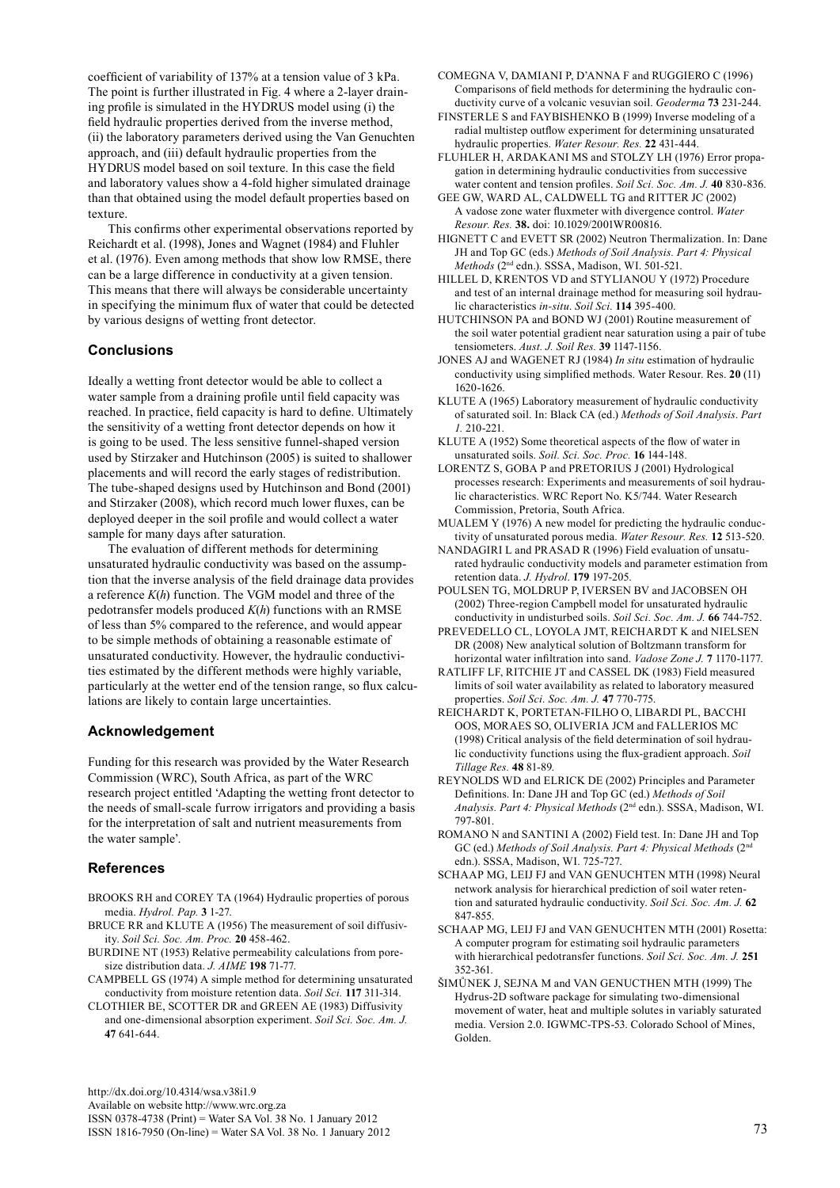coefficient of variability of 137% at a tension value of 3 kPa. The point is further illustrated in Fig. 4 where a 2-layer draining profile is simulated in the HYDRUS model using (i) the field hydraulic properties derived from the inverse method, (ii) the laboratory parameters derived using the Van Genuchten approach, and (iii) default hydraulic properties from the HYDRUS model based on soil texture. In this case the field and laboratory values show a 4-fold higher simulated drainage than that obtained using the model default properties based on texture.

This confirms other experimental observations reported by Reichardt et al. (1998), Jones and Wagnet (1984) and Fluhler et al. (1976). Even among methods that show low RMSE, there can be a large difference in conductivity at a given tension. This means that there will always be considerable uncertainty in specifying the minimum flux of water that could be detected by various designs of wetting front detector.

# **Conclusions**

Ideally a wetting front detector would be able to collect a water sample from a draining profile until field capacity was reached. In practice, field capacity is hard to define. Ultimately the sensitivity of a wetting front detector depends on how it is going to be used. The less sensitive funnel-shaped version used by Stirzaker and Hutchinson (2005) is suited to shallower placements and will record the early stages of redistribution. The tube-shaped designs used by Hutchinson and Bond (2001) and Stirzaker (2008), which record much lower fluxes, can be deployed deeper in the soil profile and would collect a water sample for many days after saturation.

The evaluation of different methods for determining unsaturated hydraulic conductivity was based on the assumption that the inverse analysis of the field drainage data provides a reference *K*(*h*) function. The VGM model and three of the pedotransfer models produced *K*(*h*) functions with an RMSE of less than 5% compared to the reference, and would appear to be simple methods of obtaining a reasonable estimate of unsaturated conductivity. However, the hydraulic conductivities estimated by the different methods were highly variable, particularly at the wetter end of the tension range, so flux calculations are likely to contain large uncertainties.

# **Acknowledgement**

Funding for this research was provided by the Water Research Commission (WRC), South Africa, as part of the WRC research project entitled 'Adapting the wetting front detector to the needs of small-scale furrow irrigators and providing a basis for the interpretation of salt and nutrient measurements from the water sample'.

# **References**

- BROOKS RH and COREY TA (1964) Hydraulic properties of porous media. *Hydrol. Pap.* **3** 1-27.
- BRUCE RR and KLUTE A (1956) The measurement of soil diffusivity. *Soil Sci. Soc. Am. Proc.* **20** 458-462.
- BURDINE NT (1953) Relative permeability calculations from poresize distribution data. *J. AIME* **198** 71-77.
- CAMPBELL GS (1974) A simple method for determining unsaturated conductivity from moisture retention data. *Soil Sci.* **117** 311-314.
- CLOTHIER BE, SCOTTER DR and GREEN AE (1983) Diffusivity and one-dimensional absorption experiment. *Soil Sci. Soc. Am. J.* **47** 641-644.

[http://dx.doi.org/10.4314/wsa.v38i1.9](http://dx.doi.org/10.4314/wsa.v37i4.18)

Available on website http://www.wrc.org.za

ISSN 0378-4738 (Print) = Water SA Vol. 38 No. 1 January 2012 ISSN 1816-7950 (On-line) = Water SA Vol. 38 No. 1 January 2012 73

- COMEGNA V, DAMIANI P, D'ANNA F and RUGGIERO C (1996) Comparisons of field methods for determining the hydraulic conductivity curve of a volcanic vesuvian soil. *Geoderma* **73** 231-244.
- FINSTERLE S and FAYBISHENKO B (1999) Inverse modeling of a radial multistep outflow experiment for determining unsaturated hydraulic properties. *Water Resour. Res.* **22** 431-444.
- FLUHLER H, ARDAKANI MS and STOLZY LH (1976) Error propagation in determining hydraulic conductivities from successive water content and tension profiles. *Soil Sci. Soc. Am. J.* **40** 830-836.
- GEE GW, WARD AL, CALDWELL TG and RITTER JC (2002) A vadose zone water fluxmeter with divergence control. *Water Resour. Res.* **38.** doi: 10.1029/2001WR00816.
- HIGNETT C and EVETT SR (2002) Neutron Thermalization. In: Dane JH and Top GC (eds.) *Methods of Soil Analysis. Part 4: Physical Methods* (2nd edn.). SSSA, Madison, WI. 501-521.
- HILLEL D, KRENTOS VD and STYLIANOU Y (1972) Procedure and test of an internal drainage method for measuring soil hydraulic characteristics *in-situ*. *Soil Sci*. **114** 395-400.
- HUTCHINSON PA and BOND WJ (2001) Routine measurement of the soil water potential gradient near saturation using a pair of tube tensiometers. *Aust. J. Soil Res.* **39** 1147-1156.
- JONES AJ and WAGENET RJ (1984) *In situ* estimation of hydraulic conductivity using simplified methods. Water Resour. Res. **20** (11) 1620-1626.
- KLUTE A (1965) Laboratory measurement of hydraulic conductivity of saturated soil. In: Black CA (ed.) *Methods of Soil Analysis*. *Part 1.* 210-221.
- KLUTE A (1952) Some theoretical aspects of the flow of water in unsaturated soils. *Soil. Sci. Soc. Proc.* **16** 144-148.
- LORENTZ S, GOBA P and PRETORIUS J (2001) Hydrological processes research: Experiments and measurements of soil hydraulic characteristics. WRC Report No. K5/744. Water Research Commission, Pretoria, South Africa.
- MUALEM Y (1976) A new model for predicting the hydraulic conductivity of unsaturated porous media. *Water Resour. Res.* **12** 513-520.
- NANDAGIRI L and PRASAD R (1996) Field evaluation of unsaturated hydraulic conductivity models and parameter estimation from retention data. *J. Hydrol*. **179** 197-205.
- POULSEN TG, MOLDRUP P, IVERSEN BV and JACOBSEN OH (2002) Three-region Campbell model for unsaturated hydraulic conductivity in undisturbed soils. *Soil Sci. Soc. Am. J.* **66** 744-752.
- Prevedello CL, Loyola JMT, Reichardt K and Nielsen DR (2008) New analytical solution of Boltzmann transform for horizontal water infiltration into sand. *Vadose Zone J.* **7** 1170-1177.
- RATLIFF LF, RITCHIE JT and CASSEL DK (1983) Field measured limits of soil water availability as related to laboratory measured properties. *Soil Sci. Soc. Am. J.* **47** 770-775.
- REICHARDT K, PORTETAN-FILHO O, LIBARDI PL, BACCHI OOS, MORAES SO, OLIVERIA JCM and FALLERIOS MC (1998) Critical analysis of the field determination of soil hydraulic conductivity functions using the flux-gradient approach. *Soil Tillage Res.* **48** 81-89.
- REYNOLDS WD and ELRICK DE (2002) Principles and Parameter Definitions. In: Dane JH and Top GC (ed.) *Methods of Soil Analysis. Part 4: Physical Methods* (2nd edn.). SSSA, Madison, WI. 797-801.
- ROMANO N and SANTINI A (2002) Field test. In: Dane JH and Top GC (ed.) *Methods of Soil Analysis. Part 4: Physical Methods* (2nd edn.). SSSA, Madison, WI. 725-727.
- SCHAAP MG, LEIJ FJ and VAN GENUCHTEN MTH (1998) Neural network analysis for hierarchical prediction of soil water retention and saturated hydraulic conductivity. *Soil Sci. Soc. Am. J.* **62** 847-855.
- SCHAAP MG, LEIJ FJ and VAN GENUCHTEN MTH (2001) Rosetta: A computer program for estimating soil hydraulic parameters with hierarchical pedotransfer functions. *Soil Sci. Soc. Am. J.* **251** 352-361.
- ŠIMŮNEK J, SEJNA M and VAN GENUCTHEN MTH (1999) The Hydrus-2D software package for simulating two-dimensional movement of water, heat and multiple solutes in variably saturated media. Version 2.0. IGWMC-TPS-53. Colorado School of Mines, Golden.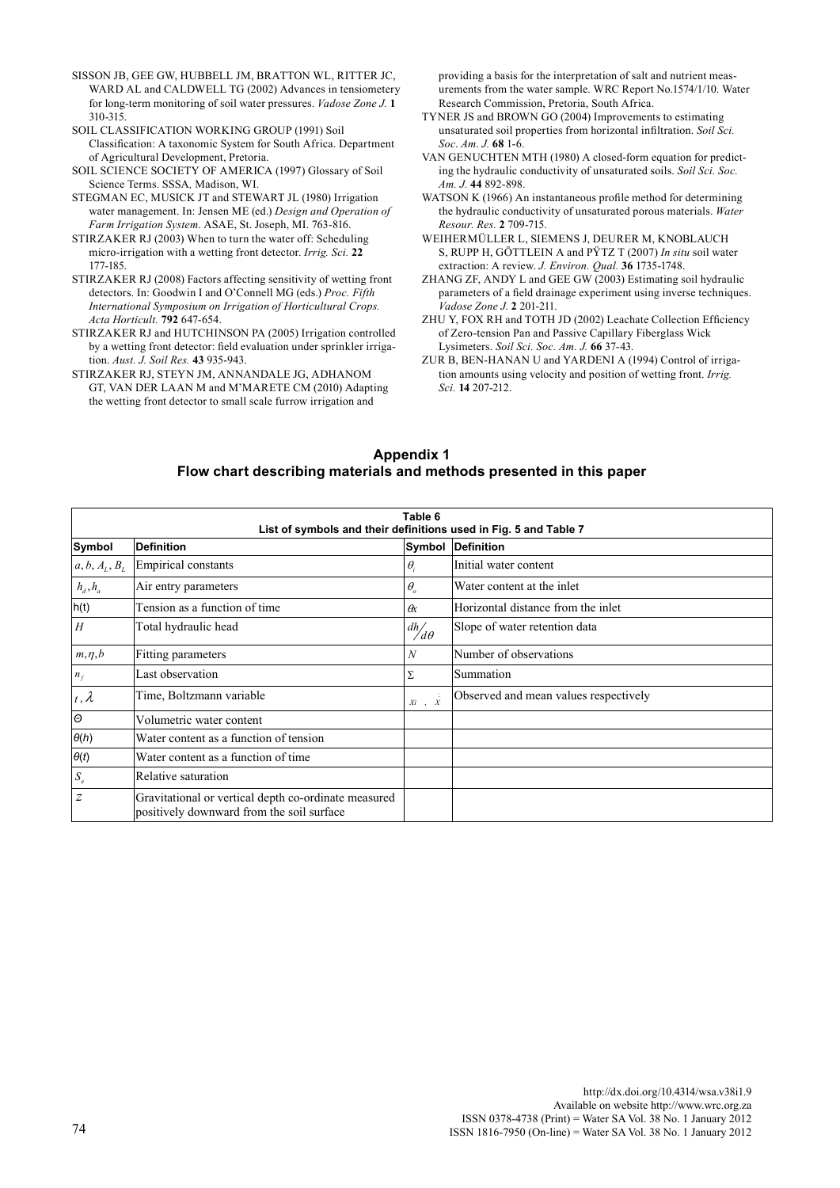- SISSON JB, GEE GW, HUBBELL JM, BRATTON WL, RITTER JC, WARD AL and CALDWELL TG (2002) Advances in tensiometery for long-term monitoring of soil water pressures. *Vadose Zone J.* **1** 310-315.
- SOIL CLASSIFICATION WORKING GROUP (1991) Soil Classification: A taxonomic System for South Africa. Department of Agricultural Development, Pretoria.
- SOIL SCIENCE SOCIETY OF AMERICA (1997) Glossary of Soil Science Terms. SSSA*,* Madison, WI.
- STEGMAN EC, MUSICK JT and STEWART JL (1980) Irrigation water management. In: Jensen ME (ed.) *Design and Operation of Farm Irrigation System*. ASAE, St. Joseph, MI. 763-816.
- STIRZAKER RJ (2003) When to turn the water off: Scheduling micro-irrigation with a wetting front detector. *Irrig. Sci.* **22** 177-185.
- STIRZAKER RJ (2008) Factors affecting sensitivity of wetting front detectors. In: Goodwin I and O'Connell MG (eds.) *Proc. Fifth International Symposium on Irrigation of Horticultural Crops. Acta Horticult.* **792** 647-654.
- STIRZAKER RJ and HUTCHINSON PA (2005) Irrigation controlled by a wetting front detector: field evaluation under sprinkler irrigation. *Aust. J. Soil Res.* **43** 935-943.
- STIRZAKER RJ, STEYN JM, ANNANDALE JG, ADHANOM GT, VAN DER LAAN M and M'MARETE CM (2010) Adapting the wetting front detector to small scale furrow irrigation and

providing a basis for the interpretation of salt and nutrient measurements from the water sample. WRC Report No.1574/1/10. Water Research Commission, Pretoria, South Africa.

- TYNER JS and BROWN GO (2004) Improvements to estimating unsaturated soil properties from horizontal infiltration. *Soil Sci. Soc*. *Am*. *J.* **68** 1-6.
- VAN GENUCHTEN MTH (1980) A closed-form equation for predicting the hydraulic conductivity of unsaturated soils. *Soil Sci. Soc. Am. J.* **44** 892-898.
- WATSON K (1966) An instantaneous profile method for determining the hydraulic conductivity of unsaturated porous materials. *Water Resour. Res.* **2** 709-715.
- WEIHERMüLLER L, SIEMENS J, DEURER M, KNOBLAUCH S, RUPP H, GÖTTLEIN A and PΫTZ T (2007) *In situ* soil water extraction: A review. *J. Environ. Qual.* **36** 1735-1748.
- ZHANG ZF, ANDY L and GEE GW (2003) Estimating soil hydraulic parameters of a field drainage experiment using inverse techniques. *Vadose Zone J*. **2** 201-211.
- ZHU Y, FOX RH and TOTH JD (2002) Leachate Collection Efficiency of Zero-tension Pan and Passive Capillary Fiberglass Wick Lysimeters. *Soil Sci. Soc. Am. J.* **66** 37-43.
- ZUR B, BEN-HANAN U and YARDENI A (1994) Control of irrigation amounts using velocity and position of wetting front. *Irrig. Sci.* **14** 207-212.

## **Appendix 1 Flow chart describing materials and methods presented in this paper**

|                  | Table 6<br>List of symbols and their definitions used in Fig. 5 and Table 7                       |                                 |                                       |  |  |  |  |
|------------------|---------------------------------------------------------------------------------------------------|---------------------------------|---------------------------------------|--|--|--|--|
| Symbol           | Definition                                                                                        | Symbol                          | Definition                            |  |  |  |  |
| $a, b, A_L, B_L$ | <b>Empirical constants</b>                                                                        | $\theta_i$                      | Initial water content                 |  |  |  |  |
| $h_d$ , $h_a$    | Air entry parameters                                                                              | $\theta_{\scriptscriptstyle o}$ | Water content at the inlet            |  |  |  |  |
| h(t)             | Tension as a function of time                                                                     | $\alpha$                        | Horizontal distance from the inlet    |  |  |  |  |
| H                | Total hydraulic head                                                                              | $\frac{dh}{d\theta}$            | Slope of water retention data         |  |  |  |  |
| $m, \eta, b$     | Fitting parameters                                                                                | N                               | Number of observations                |  |  |  |  |
| $n_f$            | Last observation                                                                                  | Σ                               | Summation                             |  |  |  |  |
| $t, \lambda$     | Time, Boltzmann variable                                                                          | $Xi$ , $\bar{X}$                | Observed and mean values respectively |  |  |  |  |
| $\Theta$         | Volumetric water content                                                                          |                                 |                                       |  |  |  |  |
| $\theta(h)$      | Water content as a function of tension                                                            |                                 |                                       |  |  |  |  |
| $\theta(t)$      | Water content as a function of time                                                               |                                 |                                       |  |  |  |  |
| $S_e$            | Relative saturation                                                                               |                                 |                                       |  |  |  |  |
| z                | Gravitational or vertical depth co-ordinate measured<br>positively downward from the soil surface |                                 |                                       |  |  |  |  |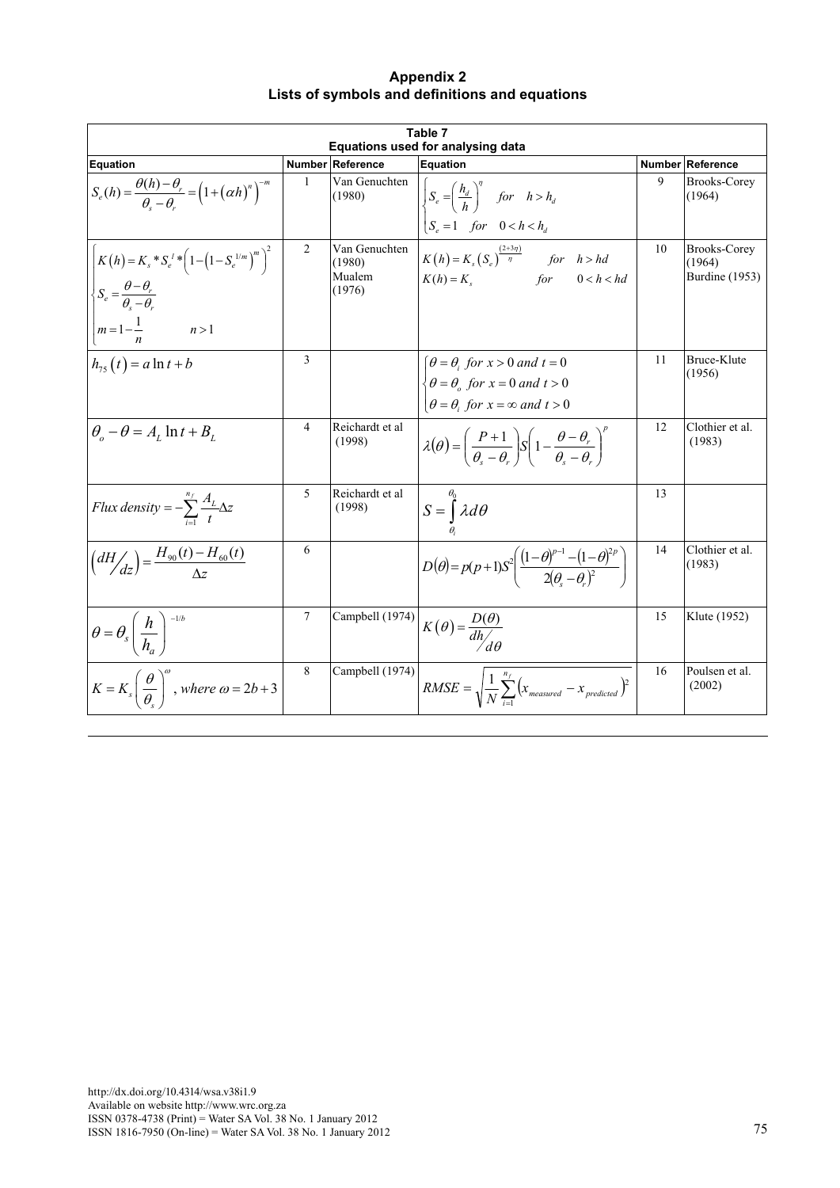| <b>Appendix 2</b>                              |
|------------------------------------------------|
| Lists of symbols and definitions and equations |
|                                                |
|                                                |
| Table 7                                        |
|                                                |

| Table 7<br>Equations used for analysing data                                                                                                                        |   |                                             |                                                                                                                                                                                                    |    |                                                 |  |  |  |
|---------------------------------------------------------------------------------------------------------------------------------------------------------------------|---|---------------------------------------------|----------------------------------------------------------------------------------------------------------------------------------------------------------------------------------------------------|----|-------------------------------------------------|--|--|--|
| <b>Equation</b>                                                                                                                                                     |   | Number Reference                            | <b>Equation</b>                                                                                                                                                                                    |    | <b>Number Reference</b>                         |  |  |  |
| $S_e(h) = \frac{\theta(h) - \theta_r}{\theta - \theta} = \left(1 + (\alpha h)^n\right)^{-m}$                                                                        | 1 | Van Genuchten<br>(1980)                     | $\left\{\n\int_{0}^{R} S_e = \left(\frac{h_d}{h}\right)^n \quad for \quad h > h_d\n\right\}$<br>$\begin{cases} S_e = 1 & \text{for} \quad 0 < h < h_a \end{cases}$                                 | 9  | <b>Brooks-Corey</b><br>(1964)                   |  |  |  |
| $K(h) = K_s * S_e' * (1 - (1 - S_e^{1/m})^m)$<br>$\left\langle S_e = \frac{\theta - \theta_r}{\theta_e - \theta_r} \right\rangle$<br>$m = 1 - \frac{1}{p}$<br>n > 1 | 2 | Van Genuchten<br>(1980)<br>Mualem<br>(1976) | $K(h) = K_s(S_e)^{\frac{(2+3\eta)}{\eta}}$ for $h > hd$<br>$K(h) = K_s$ for $0 < h < hd$                                                                                                           | 10 | <b>Brooks-Corey</b><br>(1964)<br>Burdine (1953) |  |  |  |
| $h_{75}(t) = a \ln t + b$                                                                                                                                           | 3 |                                             | $\theta = \theta_i$ for $x > 0$ and $t = 0$<br>$\begin{cases} \theta = \theta_o \text{ for } x = 0 \text{ and } t > 0 \\ \theta = \theta_i \text{ for } x = \infty \text{ and } t > 0 \end{cases}$ | 11 | Bruce-Klute<br>(1956)                           |  |  |  |
| $\theta_{\circ} - \theta = A_{\iota} \ln t + B_{\iota}$                                                                                                             | 4 | Reichardt et al<br>(1998)                   | $\lambda(\theta) = \left(\frac{P+1}{\theta - \theta_{\rm r}}\right) S \left(1 - \frac{\theta - \theta_{\rm r}}{\theta_{\rm r} - \theta_{\rm r}}\right)$                                            | 12 | Clothier et al.<br>(1983)                       |  |  |  |
| Flux density = $-\sum_{t=1}^{n_f} \frac{A_L}{\tau} \Delta z$                                                                                                        | 5 | Reichardt et al<br>(1998)                   | $S = \int_{0}^{\theta_0} \lambda d\theta$                                                                                                                                                          | 13 |                                                 |  |  |  |
| $\left(dH/d_{z}\right) = \frac{H_{90}(t) - H_{60}(t)}{\Delta z}$                                                                                                    | 6 |                                             | $D(\theta) = p(p+1)S^2 \left( \frac{(1-\theta)^{p-1} - (1-\theta)^{2p}}{2(\theta-\theta)^2} \right)$                                                                                               | 14 | Clothier et al.<br>(1983)                       |  |  |  |
| $\left \theta=\theta_s\left(\frac{h}{h_{\alpha}}\right)^{-1/t}\right $                                                                                              | 7 | Campbell (1974)                             | $K(\theta) = \frac{D(\theta)}{dh}$                                                                                                                                                                 | 15 | Klute (1952)                                    |  |  |  |
| $K = K_s \left(\frac{\theta}{\theta}\right)^{\omega}$ , where $\omega = 2b + 3$                                                                                     | 8 | Campbell (1974)                             | $RMSE = \sqrt{\frac{1}{N} \sum_{N}^{n_f} (x_{measured} - x_{predicted})^2}$                                                                                                                        | 16 | Poulsen et al.<br>(2002)                        |  |  |  |